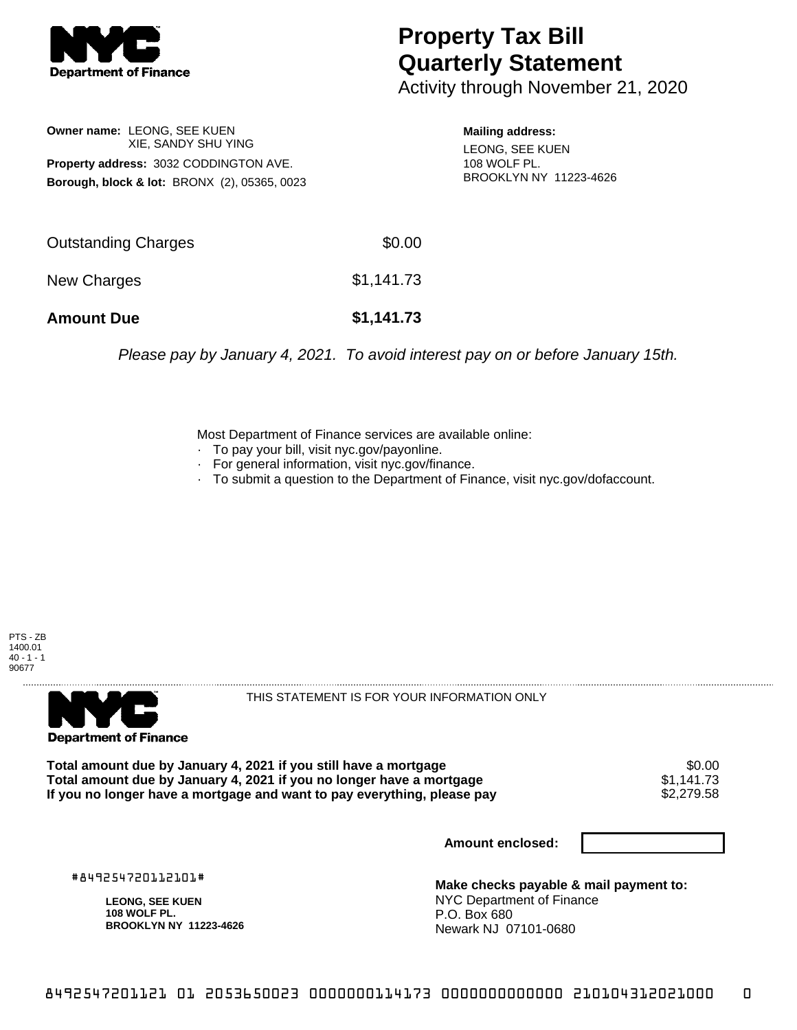

## **Property Tax Bill Quarterly Statement**

Activity through November 21, 2020

**Owner name:** LEONG, SEE KUEN XIE, SANDY SHU YING **Property address:** 3032 CODDINGTON AVE. **Borough, block & lot:** BRONX (2), 05365, 0023

**Mailing address:** LEONG, SEE KUEN 108 WOLF PL. BROOKLYN NY 11223-4626

| <b>Amount Due</b>          | \$1,141.73 |
|----------------------------|------------|
| New Charges                | \$1,141.73 |
| <b>Outstanding Charges</b> | \$0.00     |

Please pay by January 4, 2021. To avoid interest pay on or before January 15th.

Most Department of Finance services are available online:

- · To pay your bill, visit nyc.gov/payonline.
- For general information, visit nyc.gov/finance.
- · To submit a question to the Department of Finance, visit nyc.gov/dofaccount.





THIS STATEMENT IS FOR YOUR INFORMATION ONLY

Total amount due by January 4, 2021 if you still have a mortgage \$0.00<br>Total amount due by January 4, 2021 if you no longer have a mortgage \$1.141.73 **Total amount due by January 4, 2021 if you no longer have a mortgage**  $$1,141.73$$ **<br>If you no longer have a mortgage and want to pay everything, please pay**  $$2,279.58$$ If you no longer have a mortgage and want to pay everything, please pay

**Amount enclosed:**

#849254720112101#

**LEONG, SEE KUEN 108 WOLF PL. BROOKLYN NY 11223-4626**

**Make checks payable & mail payment to:** NYC Department of Finance P.O. Box 680 Newark NJ 07101-0680